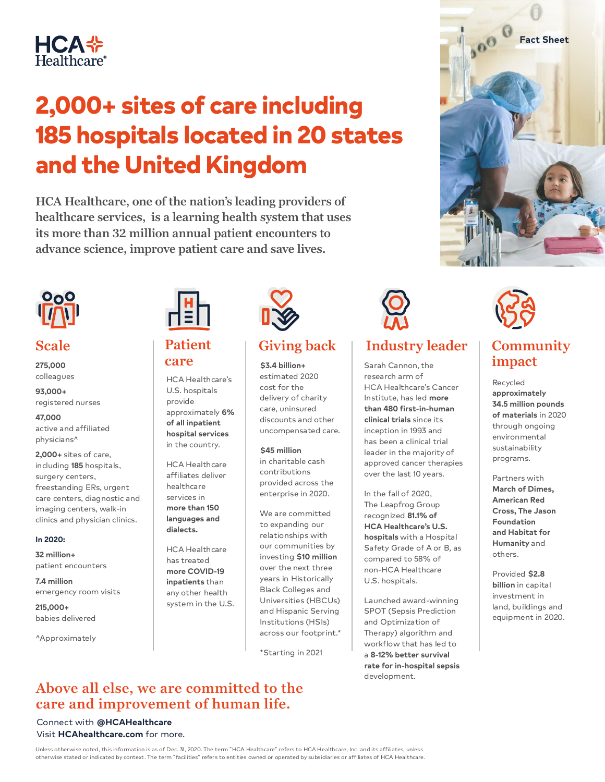

# 2,000+ sites of care including 185 hospitals located in 20 states and the United Kingdom

**HCA Healthcare, one of the nation's leading providers of healthcare services, is a learning health system that uses its more than 32 million annual patient encounters to advance science, improve patient care and save lives.** 



### **Scale Patient**

**275,000** colleagues

**93,000+** registered nurses

**47,000** active and affiliated physicians^

**2,000+** sites of care, including **185** hospitals, surgery centers, freestanding ERs, urgent care centers, diagnostic and imaging centers, walk-in clinics and physician clinics.

#### **In 2020:**

**32 million+** patient encounters

**7.4 million** emergency room visits

**215,000+** babies delivered

^Approximately



# **care**

HCA Healthcare's U.S. hospitals provide approximately **6% of all inpatient hospital services** in the country.

HCA Healthcare affiliates deliver healthcare services in **more than 150 languages and dialects.**

HCA Healthcare has treated **more COVID-19 inpatients** than any other health system in the U.S.



**\$3.4 billion+** estimated 2020 cost for the delivery of charity care, uninsured discounts and other uncompensated care.

#### **\$45 million**

in charitable cash contributions provided across the enterprise in 2020.

We are committed to expanding our relationships with our communities by investing **\$10 million** over the next three years in Historically Black Colleges and Universities (HBCUs) and Hispanic Serving Institutions (HSIs) across our footprint.\*

\*Starting in 2021



## **Giving back** | Industry leader | Community

Sarah Cannon, the research arm of HCA Healthcare's Cancer Institute, has led **more than 480 first-in-human clinical trials** since its inception in 1993 and has been a clinical trial leader in the majority of approved cancer therapies over the last 10 years.

In the fall of 2020, The Leapfrog Group recognized **81.1% of HCA Healthcare's U.S. hospitals** with a Hospital Safety Grade of A or B, as compared to 58% of non-HCA Healthcare U.S. hospitals.

Launched award-winning SPOT (Sepsis Prediction and Optimization of Therapy) algorithm and workflow that has led to a **8-12% better survival rate for in-hospital sepsis** development.

# **impact**

**Fact Sheet**

000

Recycled **approximately 34.5 million pounds of materials** in 2020 through ongoing environmental sustainability programs.

Partners with **March of Dimes, American Red Cross, The Jason Foundation and Habitat for Humanity** and others.

Provided **\$2.8 billion** in capital investment in land, buildings and equipment in 2020.

### **Above all else, we are committed to the care and improvement of human life.**

#### Connect with **@HCAHealthcare** Visit **HCAhealthcare.com** for more.

Unless otherwise noted, this information is as of Dec. 31, 2020. The term "HCA Healthcare" refers to HCA Healthcare, Inc. and its affiliates, unless otherwise stated or indicated by context. The term "facilities" refers to entities owned or operated by subsidiaries or affiliates of HCA Healthcare.